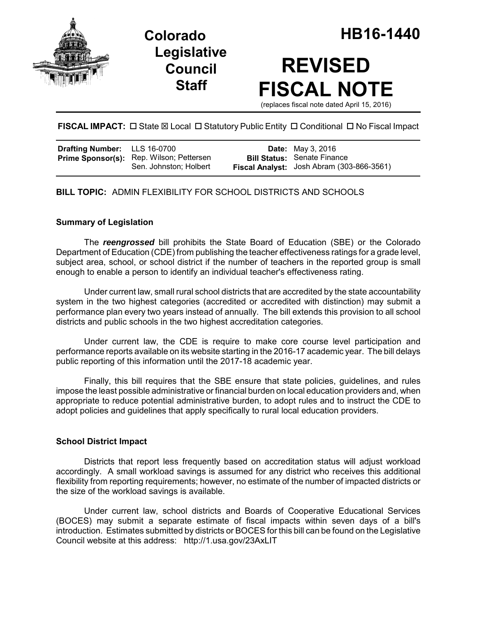

**Legislative Council Staff**

# **REVISED FISCAL NOTE**

(replaces fiscal note dated April 15, 2016)

**FISCAL IMPACT:** □ State ⊠ Local □ Statutory Public Entity □ Conditional □ No Fiscal Impact

| <b>Drafting Number:</b> LLS 16-0700 |                                                                           | <b>Date:</b> May 3, 2016                                                        |
|-------------------------------------|---------------------------------------------------------------------------|---------------------------------------------------------------------------------|
|                                     | <b>Prime Sponsor(s):</b> Rep. Wilson; Pettersen<br>Sen. Johnston; Holbert | <b>Bill Status:</b> Senate Finance<br>Fiscal Analyst: Josh Abram (303-866-3561) |

# **BILL TOPIC:** ADMIN FLEXIBILITY FOR SCHOOL DISTRICTS AND SCHOOLS

#### **Summary of Legislation**

The *reengrossed* bill prohibits the State Board of Education (SBE) or the Colorado Department of Education (CDE) from publishing the teacher effectiveness ratings for a grade level, subject area, school, or school district if the number of teachers in the reported group is small enough to enable a person to identify an individual teacher's effectiveness rating.

Under current law, small rural school districts that are accredited by the state accountability system in the two highest categories (accredited or accredited with distinction) may submit a performance plan every two years instead of annually. The bill extends this provision to all school districts and public schools in the two highest accreditation categories.

Under current law, the CDE is require to make core course level participation and performance reports available on its website starting in the 2016-17 academic year. The bill delays public reporting of this information until the 2017-18 academic year.

Finally, this bill requires that the SBE ensure that state policies, guidelines, and rules impose the least possible administrative or financial burden on local education providers and, when appropriate to reduce potential administrative burden, to adopt rules and to instruct the CDE to adopt policies and guidelines that apply specifically to rural local education providers.

#### **School District Impact**

Districts that report less frequently based on accreditation status will adjust workload accordingly. A small workload savings is assumed for any district who receives this additional flexibility from reporting requirements; however, no estimate of the number of impacted districts or the size of the workload savings is available.

Under current law, school districts and Boards of Cooperative Educational Services (BOCES) may submit a separate estimate of fiscal impacts within seven days of a bill's introduction. Estimates submitted by districts or BOCES for this bill can be found on the Legislative Council website at this address: http://1.usa.gov/23AxLIT